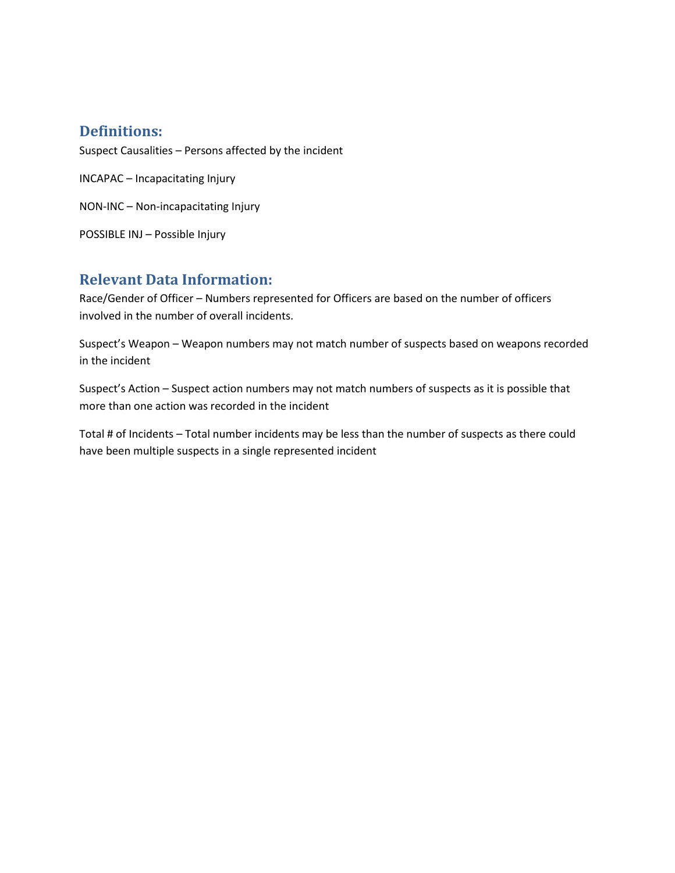#### **Definitions:**

Suspect Causalities – Persons affected by the incident

INCAPAC – Incapacitating Injury

NON-INC – Non-incapacitating Injury

POSSIBLE INJ – Possible Injury

#### **Relevant Data Information:**

Race/Gender of Officer – Numbers represented for Officers are based on the number of officers involved in the number of overall incidents.

Suspect's Weapon – Weapon numbers may not match number of suspects based on weapons recorded in the incident

Suspect's Action – Suspect action numbers may not match numbers of suspects as it is possible that more than one action was recorded in the incident

Total # of Incidents – Total number incidents may be less than the number of suspects as there could have been multiple suspects in a single represented incident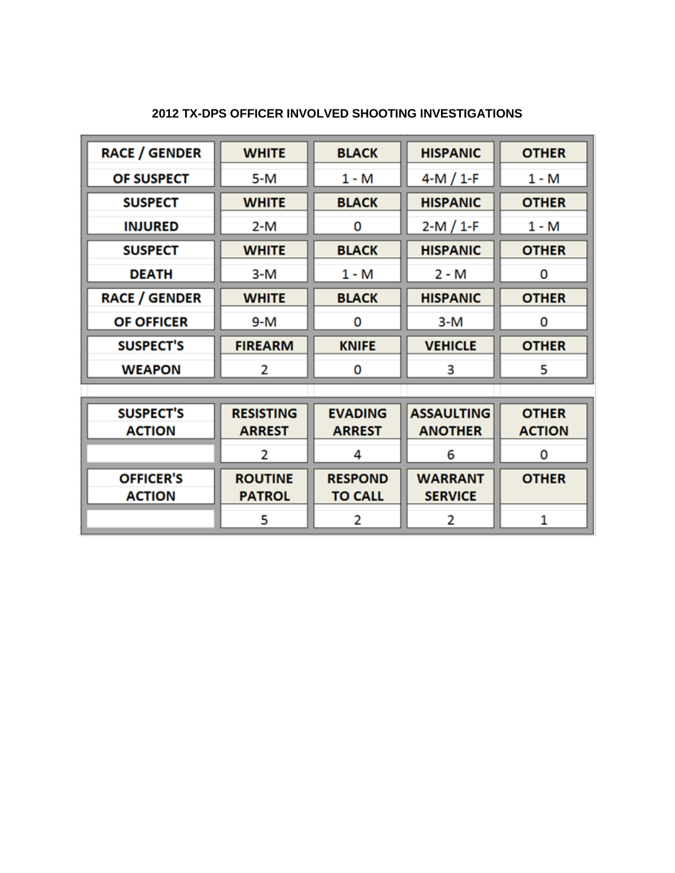| <b>RACE / GENDER</b> | <b>WHITE</b>                   | <b>BLACK</b>   | <b>HISPANIC</b>   | <b>OTHER</b>  |
|----------------------|--------------------------------|----------------|-------------------|---------------|
| OF SUSPECT           | 5-M                            | $1 - M$        | $4-M / 1-F$       | $1 - M$       |
| <b>SUSPECT</b>       | <b>BLACK</b><br><b>WHITE</b>   |                | <b>HISPANIC</b>   | <b>OTHER</b>  |
| <b>INJURED</b>       | $2-M$                          | 0              | $2-M / 1-F$       | $1 - M$       |
| <b>SUSPECT</b>       | <b>WHITE</b>                   | <b>BLACK</b>   | <b>HISPANIC</b>   | <b>OTHER</b>  |
| <b>DEATH</b>         | 3-M                            | $1 - M$        | $2 - M$           | 0             |
| <b>RACE / GENDER</b> | <b>WHITE</b>                   | <b>BLACK</b>   | <b>HISPANIC</b>   | <b>OTHER</b>  |
| <b>OF OFFICER</b>    | 9-M                            | 0              | $3-M$             | 0             |
| <b>SUSPECT'S</b>     | <b>FIREARM</b><br><b>KNIFE</b> |                | <b>VEHICLE</b>    | <b>OTHER</b>  |
| <b>WEAPON</b>        | 2                              | 0              |                   | 5             |
|                      |                                |                |                   |               |
| <b>SUSPECT'S</b>     | <b>RESISTING</b>               | <b>EVADING</b> | <b>ASSAULTING</b> | <b>OTHER</b>  |
| <b>ACTION</b>        | <b>ARREST</b>                  | <b>ARREST</b>  | <b>ANOTHER</b>    | <b>ACTION</b> |
|                      | 2                              | 4              | 6                 | 0             |
| OFFICER'S            | <b>ROUTINE</b>                 | <b>RESPOND</b> | <b>WARRANT</b>    | <b>OTHER</b>  |

**TO CALL** 

 $\overline{2}$ 

**PATROL** 

5

**SERVICE** 

 $\overline{\mathbf{2}}$ 

 $\mathbf 1$ 

**ACTION**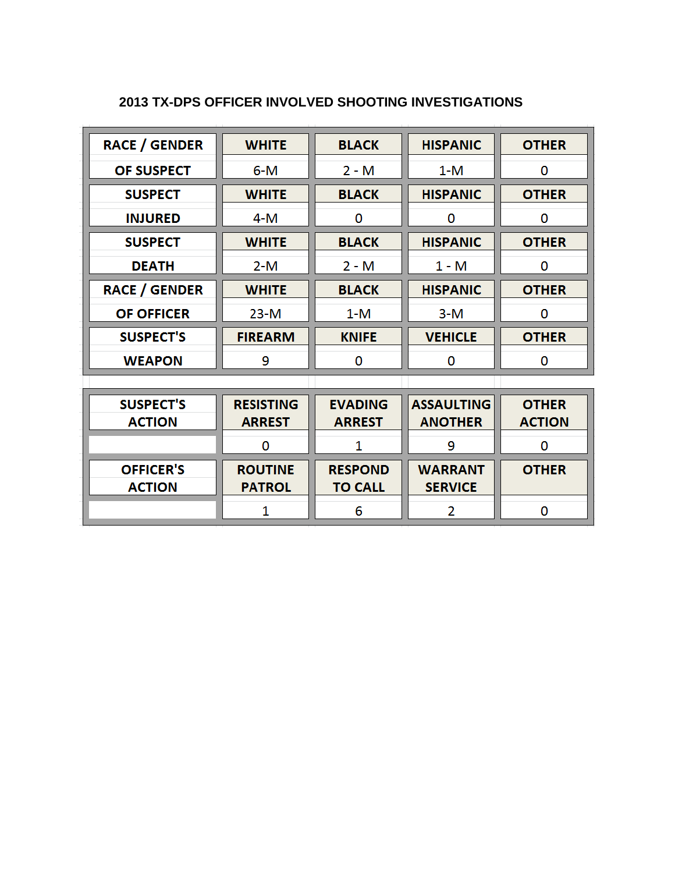| <b>RACE / GENDER</b> | <b>WHITE</b><br><b>BLACK</b>  |                | <b>HISPANIC</b>   | <b>OTHER</b>  |
|----------------------|-------------------------------|----------------|-------------------|---------------|
| OF SUSPECT           | $6 - M$<br>$2 - M$<br>$1 - M$ |                |                   | 0             |
| <b>SUSPECT</b>       | <b>WHITE</b><br><b>BLACK</b>  |                | <b>HISPANIC</b>   | <b>OTHER</b>  |
| <b>INJURED</b>       | $4-M$                         | 0              |                   | 0             |
| <b>SUSPECT</b>       | <b>WHITE</b>                  | <b>BLACK</b>   | <b>HISPANIC</b>   | <b>OTHER</b>  |
| <b>DEATH</b>         | $2 - M$                       | $2 - M$        | $1 - M$           | 0             |
| <b>RACE / GENDER</b> | <b>WHITE</b>                  | <b>BLACK</b>   | <b>HISPANIC</b>   | <b>OTHER</b>  |
| <b>OF OFFICER</b>    | $23-M$                        | $1-M$          | $3-M$             | 0             |
|                      |                               |                |                   |               |
| <b>SUSPECT'S</b>     | <b>FIREARM</b>                | <b>KNIFE</b>   | <b>VEHICLE</b>    | <b>OTHER</b>  |
| <b>WEAPON</b>        | 9                             | 0              | 0                 | 0             |
|                      |                               |                |                   |               |
| <b>SUSPECT'S</b>     | <b>RESISTING</b>              | <b>EVADING</b> | <b>ASSAULTING</b> | <b>OTHER</b>  |
| <b>ACTION</b>        | <b>ARREST</b>                 | <b>ARREST</b>  | <b>ANOTHER</b>    | <b>ACTION</b> |
|                      | 0                             | 1              | 9                 | 0             |
| <b>OFFICER'S</b>     | <b>ROUTINE</b>                | <b>RESPOND</b> | <b>WARRANT</b>    | <b>OTHER</b>  |
| <b>ACTION</b>        | <b>PATROL</b>                 | <b>TO CALL</b> | <b>SERVICE</b>    |               |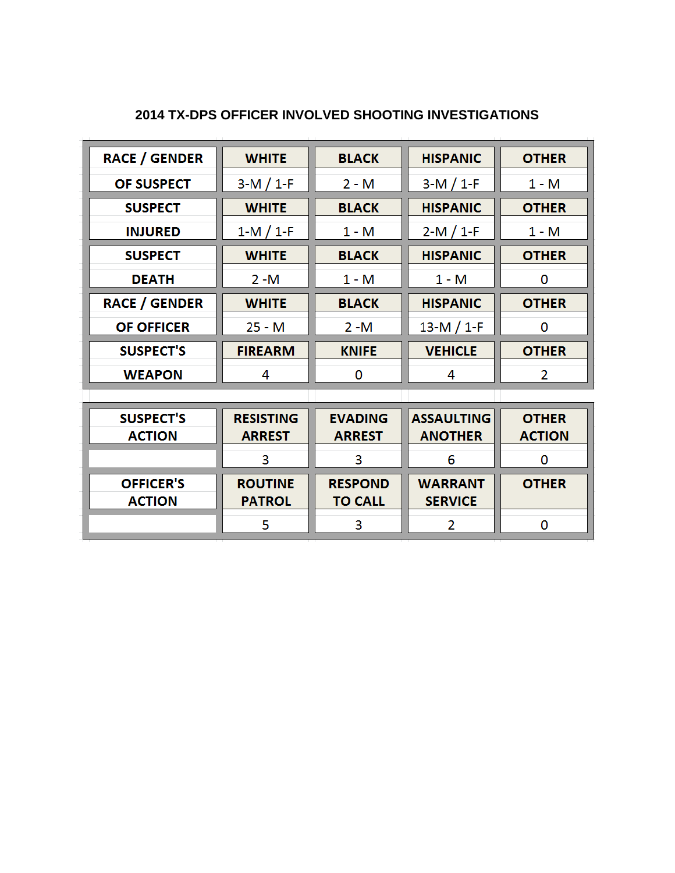| <b>RACE / GENDER</b>              | <b>WHITE</b>                      | <b>BLACK</b>                     | <b>HISPANIC</b>                     | <b>OTHER</b>                  |
|-----------------------------------|-----------------------------------|----------------------------------|-------------------------------------|-------------------------------|
| OF SUSPECT                        | $3-M / 1-F$                       | $2 - M$                          | $3-M / 1-F$                         | $1 - M$                       |
| <b>SUSPECT</b>                    | <b>WHITE</b>                      | <b>BLACK</b>                     | <b>HISPANIC</b>                     | <b>OTHER</b>                  |
| <b>INJURED</b>                    | $1-M / 1-F$                       | 1 - M                            | $2-M / 1-F$                         | $1 - M$                       |
| <b>SUSPECT</b>                    | <b>WHITE</b>                      | <b>BLACK</b>                     | <b>HISPANIC</b>                     | <b>OTHER</b>                  |
| <b>DEATH</b>                      | $2 - M$                           | $1 - M$                          | $1 - M$                             | 0                             |
| <b>RACE / GENDER</b>              | <b>WHITE</b>                      | <b>BLACK</b>                     | <b>HISPANIC</b>                     | <b>OTHER</b>                  |
| <b>OF OFFICER</b>                 | $25 - M$                          | $2 - M$                          | 13-M $/$ 1-F                        | O                             |
| <b>SUSPECT'S</b>                  | <b>FIREARM</b>                    | <b>KNIFE</b>                     | <b>VEHICLE</b>                      | <b>OTHER</b>                  |
| <b>WEAPON</b>                     | 4<br>0                            |                                  | 4                                   | 2                             |
|                                   |                                   |                                  |                                     |                               |
| <b>SUSPECT'S</b><br><b>ACTION</b> | <b>RESISTING</b><br><b>ARREST</b> | <b>EVADING</b><br><b>ARREST</b>  | <b>ASSAULTING</b><br><b>ANOTHER</b> | <b>OTHER</b><br><b>ACTION</b> |
|                                   | 3                                 | 3                                | 6                                   | $\mathbf 0$                   |
| <b>OFFICER'S</b><br><b>ACTION</b> | <b>ROUTINE</b><br><b>PATROL</b>   | <b>RESPOND</b><br><b>TO CALL</b> | <b>WARRANT</b><br><b>SERVICE</b>    | <b>OTHER</b>                  |
|                                   | 5                                 | 3                                | 2                                   | 0                             |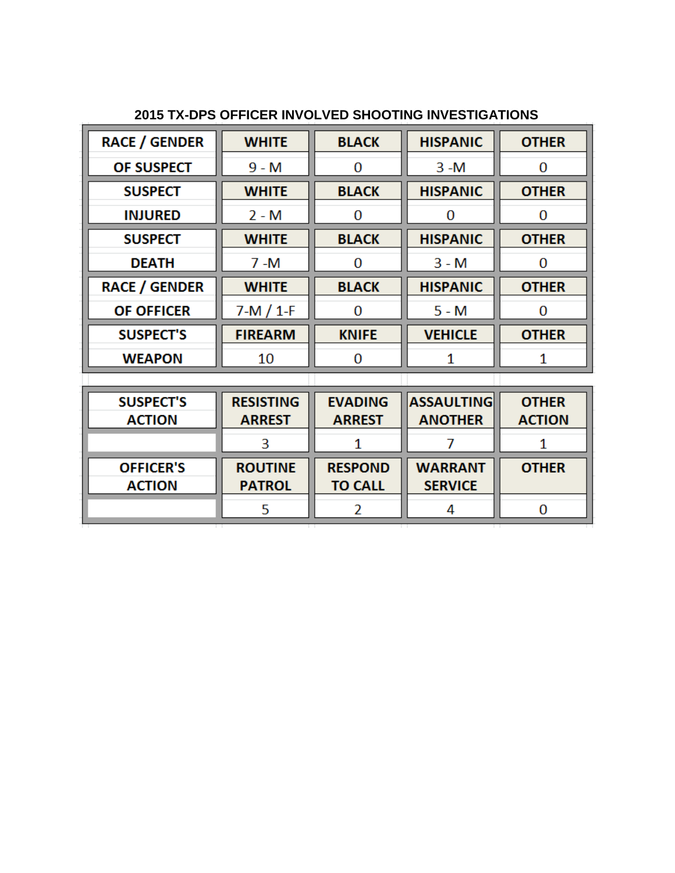| <b>RACE / GENDER</b> | <b>WHITE</b>   | <b>BLACK</b> | <b>HISPANIC</b> | <b>OTHER</b> |
|----------------------|----------------|--------------|-----------------|--------------|
| OF SUSPECT           | $9 - M$        | 0            | $3 - M$         | 0            |
| <b>SUSPECT</b>       | <b>WHITE</b>   | <b>BLACK</b> | <b>HISPANIC</b> | <b>OTHER</b> |
| <b>INJURED</b>       | $2 - M$        | 0            | 0               | 0            |
| <b>SUSPECT</b>       | <b>WHITE</b>   | <b>BLACK</b> | <b>HISPANIC</b> | <b>OTHER</b> |
| <b>DEATH</b>         | $7 - M$        | 0            | $3 - M$         | 0            |
| <b>RACE / GENDER</b> | <b>WHITE</b>   | <b>BLACK</b> | <b>HISPANIC</b> | <b>OTHER</b> |
| <b>OF OFFICER</b>    | $7-M / 1-F$    | 0            | $5 - M$         | O            |
| <b>SUSPECT'S</b>     | <b>FIREARM</b> | <b>KNIFE</b> | <b>VEHICLE</b>  | <b>OTHER</b> |
| <b>WEAPON</b>        | 10             | 0            | 1               | 1            |
|                      |                |              |                 |              |

| <b>SUSPECT'S</b> | <b>RESISTING</b> | <b>EVADING</b> | <b>ASSAULTING</b> | <b>OTHER</b>  |
|------------------|------------------|----------------|-------------------|---------------|
| <b>ACTION</b>    | <b>ARREST</b>    | <b>ARREST</b>  | <b>ANOTHER</b>    | <b>ACTION</b> |
|                  |                  |                |                   |               |
|                  |                  |                |                   |               |
| <b>OFFICER'S</b> | <b>ROUTINE</b>   | <b>RESPOND</b> | <b>WARRANT</b>    | <b>OTHER</b>  |
| <b>ACTION</b>    | <b>PATROL</b>    | <b>TO CALL</b> | <b>SERVICE</b>    |               |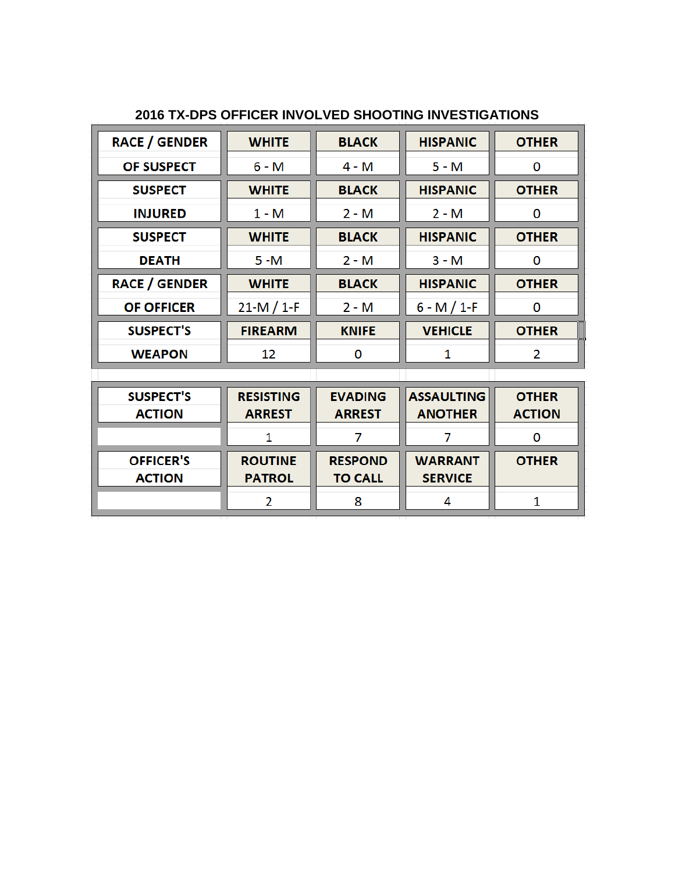|  |  | 2016 TX-DPS OFFICER INVOLVED SHOOTING INVESTIGATIONS |
|--|--|------------------------------------------------------|
|  |  |                                                      |

| <b>RACE / GENDER</b> | <b>WHITE</b><br><b>HISPANIC</b><br><b>BLACK</b> |                                 | <b>OTHER</b>    |              |
|----------------------|-------------------------------------------------|---------------------------------|-----------------|--------------|
| <b>OF SUSPECT</b>    | $6 - M$                                         | $4 - M$                         | $5 - M$         | 0            |
| <b>SUSPECT</b>       | <b>WHITE</b><br><b>BLACK</b>                    |                                 | <b>HISPANIC</b> | <b>OTHER</b> |
| <b>INJURED</b>       | $1 - M$                                         | $2 - M$                         | $2 - M$         | 0            |
| <b>SUSPECT</b>       | <b>WHITE</b>                                    | <b>BLACK</b>                    | <b>HISPANIC</b> | <b>OTHER</b> |
| <b>DEATH</b>         | $5 - M$                                         | $2 - M$                         | $3 - M$         | 0            |
| <b>RACE / GENDER</b> | <b>WHITE</b>                                    | <b>HISPANIC</b><br><b>BLACK</b> |                 | <b>OTHER</b> |
| <b>OF OFFICER</b>    | $21-M / 1-F$                                    | $2 - M$                         | $6 - M / 1 - F$ | 0            |
| <b>SUSPECT'S</b>     | <b>FIREARM</b>                                  | <b>KNIFE</b>                    | <b>VEHICLE</b>  | <b>OTHER</b> |
| <b>WEAPON</b>        | 12 <sup>2</sup>                                 | 0                               | 1               | 2            |
|                      |                                                 |                                 |                 |              |

| <b>SUSPECT'S</b> | <b>RESISTING</b> | <b>EVADING</b> | <b>ASSAULTING</b> | <b>OTHER</b>  |
|------------------|------------------|----------------|-------------------|---------------|
| <b>ACTION</b>    | <b>ARREST</b>    | <b>ARREST</b>  | <b>ANOTHER</b>    | <b>ACTION</b> |
|                  |                  |                |                   |               |
|                  |                  |                |                   |               |
| <b>OFFICER'S</b> | <b>ROUTINE</b>   | <b>RESPOND</b> | <b>WARRANT</b>    | <b>OTHER</b>  |
| <b>ACTION</b>    | <b>PATROL</b>    | <b>TO CALL</b> | <b>SERVICE</b>    |               |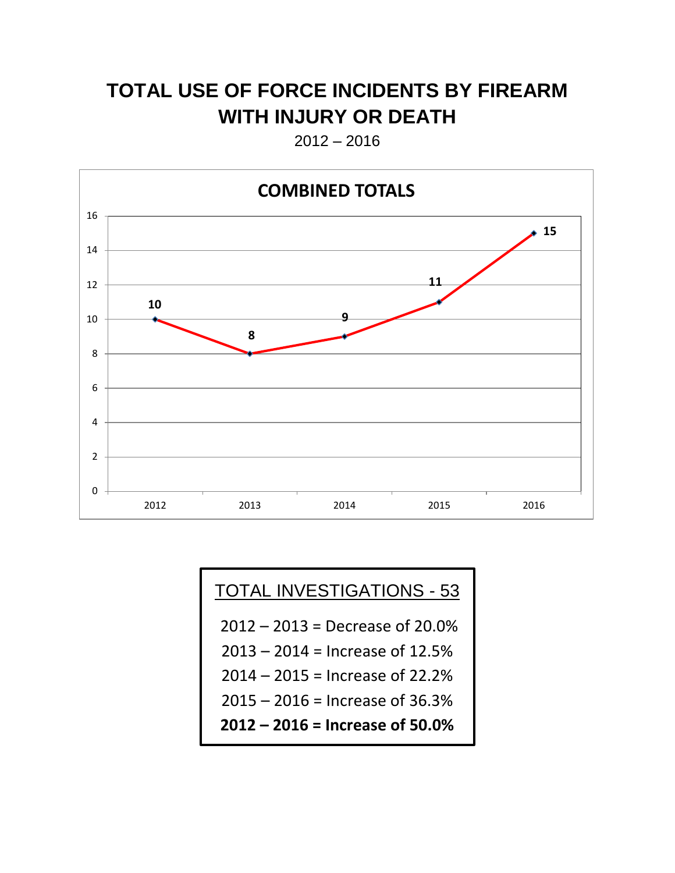## **TOTAL USE OF FORCE INCIDENTS BY FIREARM WITH INJURY OR DEATH**

2012 – 2016



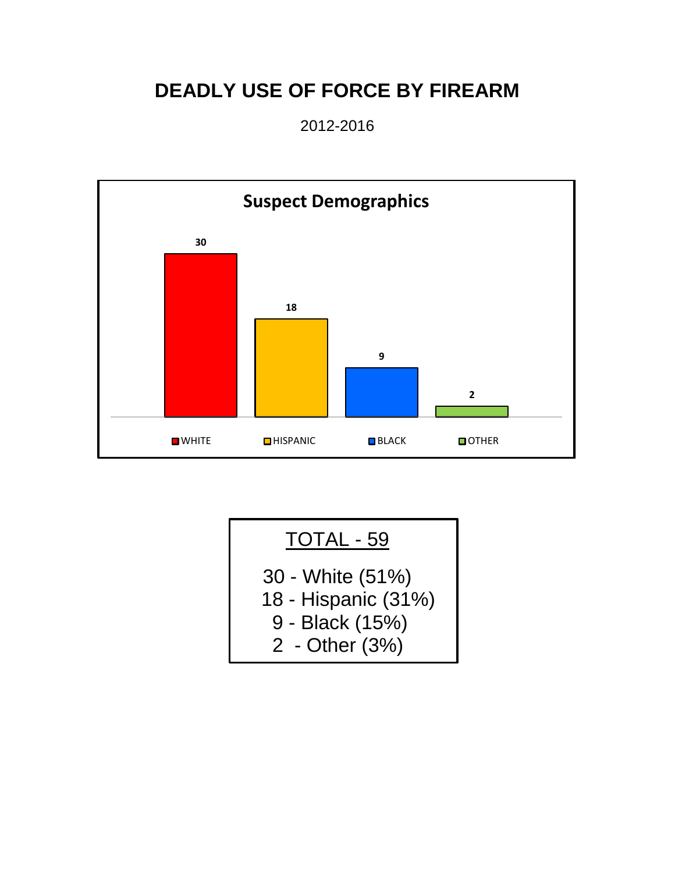# **DEADLY USE OF FORCE BY FIREARM**

2012-2016



| TOTAL - 59                                                                   |
|------------------------------------------------------------------------------|
| 30 - White (51%)<br>18 - Hispanic (31%)<br>9 - Black (15%)<br>2 - Other (3%) |